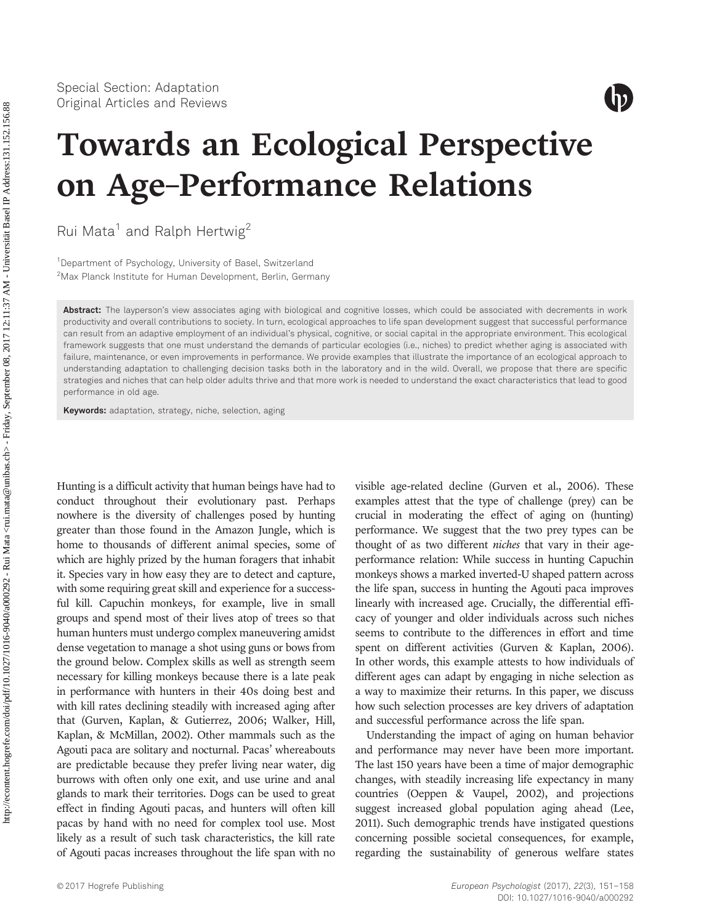

# Towards an Ecological Perspective on Age–Performance Relations

Rui Mata<sup>1</sup> and Ralph Hertwig<sup>2</sup>

<sup>1</sup>Department of Psychology, University of Basel, Switzerland 2 Max Planck Institute for Human Development, Berlin, Germany

Abstract: The layperson's view associates aging with biological and cognitive losses, which could be associated with decrements in work productivity and overall contributions to society. In turn, ecological approaches to life span development suggest that successful performance can result from an adaptive employment of an individual's physical, cognitive, or social capital in the appropriate environment. This ecological framework suggests that one must understand the demands of particular ecologies (i.e., niches) to predict whether aging is associated with failure, maintenance, or even improvements in performance. We provide examples that illustrate the importance of an ecological approach to understanding adaptation to challenging decision tasks both in the laboratory and in the wild. Overall, we propose that there are specific strategies and niches that can help older adults thrive and that more work is needed to understand the exact characteristics that lead to good performance in old age.

Keywords: adaptation, strategy, niche, selection, aging

Hunting is a difficult activity that human beings have had to conduct throughout their evolutionary past. Perhaps nowhere is the diversity of challenges posed by hunting greater than those found in the Amazon Jungle, which is home to thousands of different animal species, some of which are highly prized by the human foragers that inhabit it. Species vary in how easy they are to detect and capture, with some requiring great skill and experience for a successful kill. Capuchin monkeys, for example, live in small groups and spend most of their lives atop of trees so that human hunters must undergo complex maneuvering amidst dense vegetation to manage a shot using guns or bows from the ground below. Complex skills as well as strength seem necessary for killing monkeys because there is a late peak in performance with hunters in their 40s doing best and with kill rates declining steadily with increased aging after that (Gurven, Kaplan, & Gutierrez, 2006; Walker, Hill, Kaplan, & McMillan, 2002). Other mammals such as the Agouti paca are solitary and nocturnal. Pacas' whereabouts are predictable because they prefer living near water, dig burrows with often only one exit, and use urine and anal glands to mark their territories. Dogs can be used to great effect in finding Agouti pacas, and hunters will often kill pacas by hand with no need for complex tool use. Most likely as a result of such task characteristics, the kill rate of Agouti pacas increases throughout the life span with no visible age-related decline (Gurven et al., 2006). These examples attest that the type of challenge (prey) can be crucial in moderating the effect of aging on (hunting) performance. We suggest that the two prey types can be thought of as two different *niches* that vary in their ageperformance relation: While success in hunting Capuchin monkeys shows a marked inverted-U shaped pattern across the life span, success in hunting the Agouti paca improves linearly with increased age. Crucially, the differential efficacy of younger and older individuals across such niches seems to contribute to the differences in effort and time spent on different activities (Gurven & Kaplan, 2006). In other words, this example attests to how individuals of different ages can adapt by engaging in niche selection as a way to maximize their returns. In this paper, we discuss how such selection processes are key drivers of adaptation and successful performance across the life span.

Understanding the impact of aging on human behavior and performance may never have been more important. The last 150 years have been a time of major demographic changes, with steadily increasing life expectancy in many countries (Oeppen & Vaupel, 2002), and projections suggest increased global population aging ahead (Lee, 2011). Such demographic trends have instigated questions concerning possible societal consequences, for example, regarding the sustainability of generous welfare states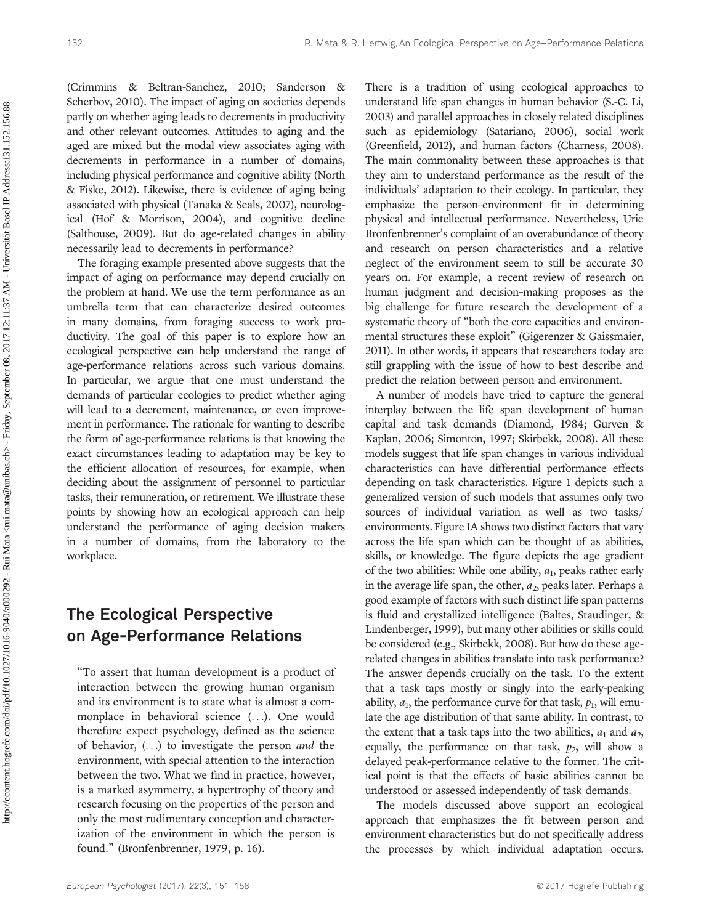(Crimmins & Beltran-Sanchez, 2010; Sanderson & Scherbov, 2010). The impact of aging on societies depends partly on whether aging leads to decrements in productivity and other relevant outcomes. Attitudes to aging and the aged are mixed but the modal view associates aging with decrements in performance in a number of domains, including physical performance and cognitive ability (North & Fiske, 2012). Likewise, there is evidence of aging being associated with physical (Tanaka & Seals, 2007), neurological (Hof & Morrison, 2004), and cognitive decline (Salthouse, 2009). But do age-related changes in ability necessarily lead to decrements in performance?

The foraging example presented above suggests that the impact of aging on performance may depend crucially on the problem at hand. We use the term performance as an umbrella term that can characterize desired outcomes in many domains, from foraging success to work productivity. The goal of this paper is to explore how an ecological perspective can help understand the range of age-performance relations across such various domains. In particular, we argue that one must understand the demands of particular ecologies to predict whether aging will lead to a decrement, maintenance, or even improvement in performance. The rationale for wanting to describe the form of age-performance relations is that knowing the exact circumstances leading to adaptation may be key to the efficient allocation of resources, for example, when deciding about the assignment of personnel to particular tasks, their remuneration, or retirement. We illustrate these points by showing how an ecological approach can help understand the performance of aging decision makers in a number of domains, from the laboratory to the workplace.

### The Ecological Perspective on Age-Performance Relations

"To assert that human development is a product of interaction between the growing human organism and its environment is to state what is almost a commonplace in behavioral science (...). One would therefore expect psychology, defined as the science of behavior, (...) to investigate the person and the environment, with special attention to the interaction between the two. What we find in practice, however, is a marked asymmetry, a hypertrophy of theory and research focusing on the properties of the person and only the most rudimentary conception and characterization of the environment in which the person is found." (Bronfenbrenner, 1979, p. 16).

There is a tradition of using ecological approaches to understand life span changes in human behavior (S.-C. Li, 2003) and parallel approaches in closely related disciplines such as epidemiology (Satariano, 2006), social work (Greenfield, 2012), and human factors (Charness, 2008). The main commonality between these approaches is that they aim to understand performance as the result of the individuals' adaptation to their ecology. In particular, they emphasize the person–environment fit in determining physical and intellectual performance. Nevertheless, Urie Bronfenbrenner's complaint of an overabundance of theory and research on person characteristics and a relative neglect of the environment seem to still be accurate 30 years on. For example, a recent review of research on human judgment and decision–making proposes as the big challenge for future research the development of a systematic theory of "both the core capacities and environmental structures these exploit" (Gigerenzer & Gaissmaier, 2011). In other words, it appears that researchers today are still grappling with the issue of how to best describe and predict the relation between person and environment.

A number of models have tried to capture the general interplay between the life span development of human capital and task demands (Diamond, 1984; Gurven & Kaplan, 2006; Simonton, 1997; Skirbekk, 2008). All these models suggest that life span changes in various individual characteristics can have differential performance effects depending on task characteristics. Figure 1 depicts such a generalized version of such models that assumes only two sources of individual variation as well as two tasks/ environments. Figure 1A shows two distinct factors that vary across the life span which can be thought of as abilities, skills, or knowledge. The figure depicts the age gradient of the two abilities: While one ability,  $a_1$ , peaks rather early in the average life span, the other,  $a_2$ , peaks later. Perhaps a good example of factors with such distinct life span patterns is fluid and crystallized intelligence (Baltes, Staudinger, & Lindenberger, 1999), but many other abilities or skills could be considered (e.g., Skirbekk, 2008). But how do these agerelated changes in abilities translate into task performance? The answer depends crucially on the task. To the extent that a task taps mostly or singly into the early-peaking ability,  $a_1$ , the performance curve for that task,  $p_1$ , will emulate the age distribution of that same ability. In contrast, to the extent that a task taps into the two abilities,  $a_1$  and  $a_2$ , equally, the performance on that task,  $p_2$ , will show a delayed peak-performance relative to the former. The critical point is that the effects of basic abilities cannot be understood or assessed independently of task demands.

The models discussed above support an ecological approach that emphasizes the fit between person and environment characteristics but do not specifically address the processes by which individual adaptation occurs.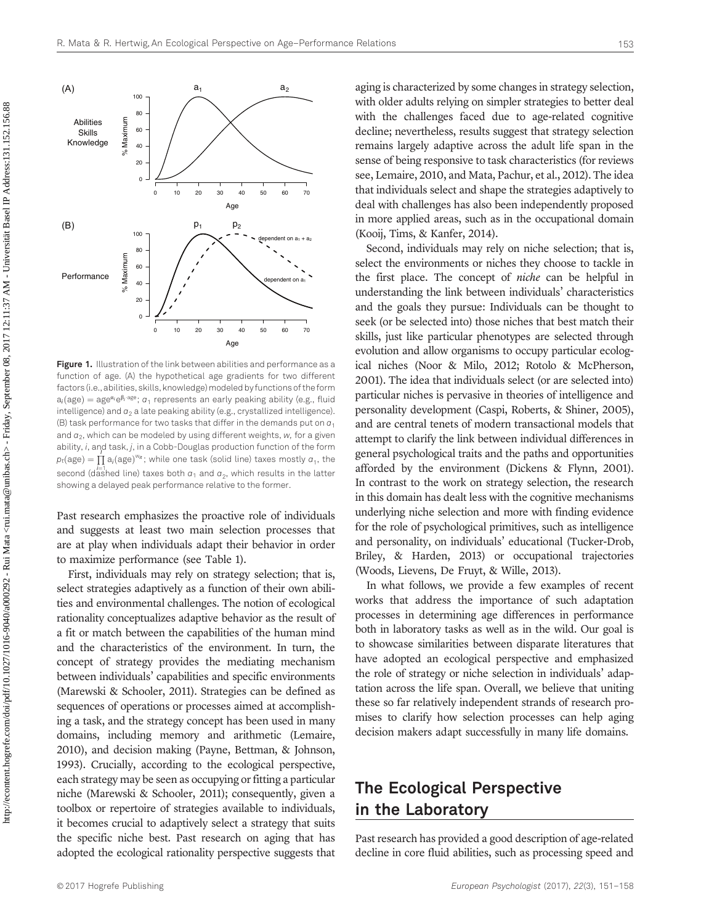

Figure 1. Illustration of the link between abilities and performance as a function of age. (A) the hypothetical age gradients for two different factors (i.e., abilities, skills, knowledge) modeled by functions of the form  $a_i(age) = age^{\alpha_i}e^{\beta_i \cdot age}$ ;  $a_1$  represents an early peaking ability (e.g., fluid intelligence) and  $a_2$  a late peaking ability (e.g., crystallized intelligence). (B) task performance for two tasks that differ in the demands put on  $a_1$ and  $a_2$ , which can be modeled by using different weights, w, for a given ability, i, and task, j, in a Cobb-Douglas production function of the form  $p_t(age) = \prod_{i=1}^{n} a_i(age)^{w_{it}}$ ; while one task (solid line) taxes mostly  $a_1$ , the second (dashed line) taxes both  $\sigma_1$  and  $\sigma_2$ , which results in the latter showing a delayed peak performance relative to the former.

Past research emphasizes the proactive role of individuals and suggests at least two main selection processes that are at play when individuals adapt their behavior in order to maximize performance (see Table 1).

First, individuals may rely on strategy selection; that is, select strategies adaptively as a function of their own abilities and environmental challenges. The notion of ecological rationality conceptualizes adaptive behavior as the result of a fit or match between the capabilities of the human mind and the characteristics of the environment. In turn, the concept of strategy provides the mediating mechanism between individuals' capabilities and specific environments (Marewski & Schooler, 2011). Strategies can be defined as sequences of operations or processes aimed at accomplishing a task, and the strategy concept has been used in many domains, including memory and arithmetic (Lemaire, 2010), and decision making (Payne, Bettman, & Johnson, 1993). Crucially, according to the ecological perspective, each strategy may be seen as occupying or fitting a particular niche (Marewski & Schooler, 2011); consequently, given a toolbox or repertoire of strategies available to individuals, it becomes crucial to adaptively select a strategy that suits the specific niche best. Past research on aging that has adopted the ecological rationality perspective suggests that aging is characterized by some changes in strategy selection, with older adults relying on simpler strategies to better deal with the challenges faced due to age-related cognitive decline; nevertheless, results suggest that strategy selection remains largely adaptive across the adult life span in the sense of being responsive to task characteristics (for reviews see, Lemaire, 2010, and Mata, Pachur, et al., 2012). The idea that individuals select and shape the strategies adaptively to deal with challenges has also been independently proposed in more applied areas, such as in the occupational domain (Kooij, Tims, & Kanfer, 2014).

Second, individuals may rely on niche selection; that is, select the environments or niches they choose to tackle in the first place. The concept of niche can be helpful in understanding the link between individuals' characteristics and the goals they pursue: Individuals can be thought to seek (or be selected into) those niches that best match their skills, just like particular phenotypes are selected through evolution and allow organisms to occupy particular ecological niches (Noor & Milo, 2012; Rotolo & McPherson, 2001). The idea that individuals select (or are selected into) particular niches is pervasive in theories of intelligence and personality development (Caspi, Roberts, & Shiner, 2005), and are central tenets of modern transactional models that attempt to clarify the link between individual differences in general psychological traits and the paths and opportunities afforded by the environment (Dickens & Flynn, 2001). In contrast to the work on strategy selection, the research in this domain has dealt less with the cognitive mechanisms underlying niche selection and more with finding evidence for the role of psychological primitives, such as intelligence and personality, on individuals' educational (Tucker-Drob, Briley, & Harden, 2013) or occupational trajectories (Woods, Lievens, De Fruyt, & Wille, 2013).

In what follows, we provide a few examples of recent works that address the importance of such adaptation processes in determining age differences in performance both in laboratory tasks as well as in the wild. Our goal is to showcase similarities between disparate literatures that have adopted an ecological perspective and emphasized the role of strategy or niche selection in individuals' adaptation across the life span. Overall, we believe that uniting these so far relatively independent strands of research promises to clarify how selection processes can help aging decision makers adapt successfully in many life domains.

# The Ecological Perspective in the Laboratory

Past research has provided a good description of age-related decline in core fluid abilities, such as processing speed and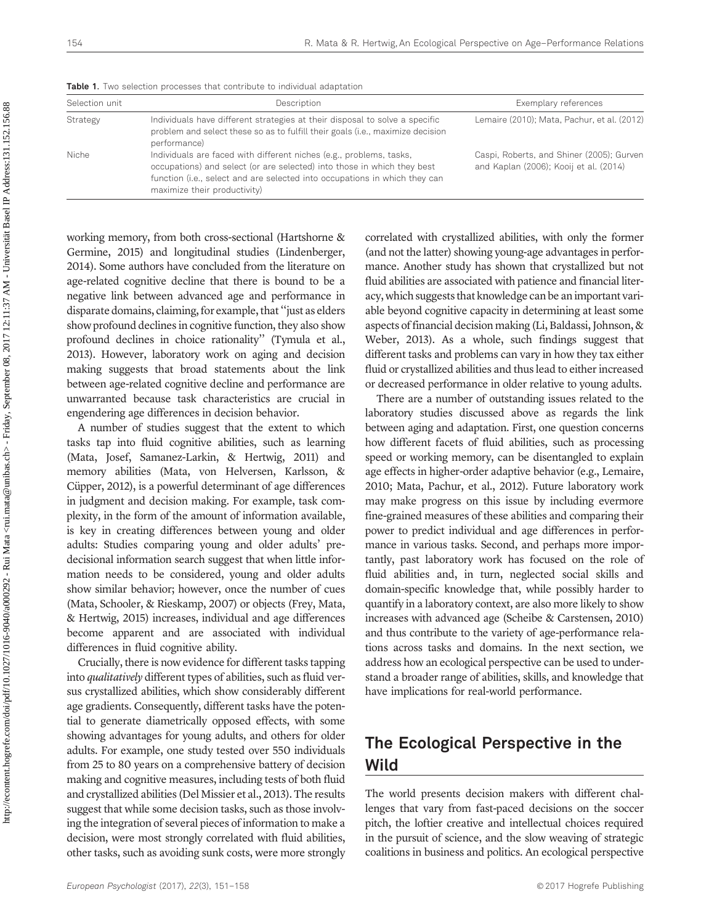**Table 1.** Two selection processes that contribute to individual adaptation

| Selection unit | Description                                                                                                                                                                                                                                                  | Exemplary references                                                                |
|----------------|--------------------------------------------------------------------------------------------------------------------------------------------------------------------------------------------------------------------------------------------------------------|-------------------------------------------------------------------------------------|
| Strategy       | Individuals have different strategies at their disposal to solve a specific<br>problem and select these so as to fulfill their goals (i.e., maximize decision<br>performance)                                                                                | Lemaire (2010); Mata, Pachur, et al. (2012)                                         |
| Niche          | Individuals are faced with different niches (e.g., problems, tasks,<br>occupations) and select (or are selected) into those in which they best<br>function (i.e., select and are selected into occupations in which they can<br>maximize their productivity) | Caspi, Roberts, and Shiner (2005); Gurven<br>and Kaplan (2006); Kooij et al. (2014) |

working memory, from both cross-sectional (Hartshorne & Germine, 2015) and longitudinal studies (Lindenberger, 2014). Some authors have concluded from the literature on age-related cognitive decline that there is bound to be a negative link between advanced age and performance in disparate domains, claiming, for example, that''just as elders show profound declines in cognitive function, they also show profound declines in choice rationality'' (Tymula et al., 2013). However, laboratory work on aging and decision making suggests that broad statements about the link between age-related cognitive decline and performance are unwarranted because task characteristics are crucial in engendering age differences in decision behavior.

A number of studies suggest that the extent to which tasks tap into fluid cognitive abilities, such as learning (Mata, Josef, Samanez-Larkin, & Hertwig, 2011) and memory abilities (Mata, von Helversen, Karlsson, & Cüpper, 2012), is a powerful determinant of age differences in judgment and decision making. For example, task complexity, in the form of the amount of information available, is key in creating differences between young and older adults: Studies comparing young and older adults' predecisional information search suggest that when little information needs to be considered, young and older adults show similar behavior; however, once the number of cues (Mata, Schooler, & Rieskamp, 2007) or objects (Frey, Mata, & Hertwig, 2015) increases, individual and age differences become apparent and are associated with individual differences in fluid cognitive ability.

Crucially, there is now evidence for different tasks tapping into *qualitatively* different types of abilities, such as fluid versus crystallized abilities, which show considerably different age gradients. Consequently, different tasks have the potential to generate diametrically opposed effects, with some showing advantages for young adults, and others for older adults. For example, one study tested over 550 individuals from 25 to 80 years on a comprehensive battery of decision making and cognitive measures, including tests of both fluid and crystallized abilities (Del Missier et al., 2013). The results suggest that while some decision tasks, such as those involving the integration of several pieces of information to make a decision, were most strongly correlated with fluid abilities, other tasks, such as avoiding sunk costs, were more strongly correlated with crystallized abilities, with only the former (and not the latter) showing young-age advantages in performance. Another study has shown that crystallized but not fluid abilities are associated with patience and financial literacy, which suggests that knowledge can be an important variable beyond cognitive capacity in determining at least some aspects of financial decision making (Li, Baldassi, Johnson, & Weber, 2013). As a whole, such findings suggest that different tasks and problems can vary in how they tax either fluid or crystallized abilities and thus lead to either increased or decreased performance in older relative to young adults.

There are a number of outstanding issues related to the laboratory studies discussed above as regards the link between aging and adaptation. First, one question concerns how different facets of fluid abilities, such as processing speed or working memory, can be disentangled to explain age effects in higher-order adaptive behavior (e.g., Lemaire, 2010; Mata, Pachur, et al., 2012). Future laboratory work may make progress on this issue by including evermore fine-grained measures of these abilities and comparing their power to predict individual and age differences in performance in various tasks. Second, and perhaps more importantly, past laboratory work has focused on the role of fluid abilities and, in turn, neglected social skills and domain-specific knowledge that, while possibly harder to quantify in a laboratory context, are also more likely to show increases with advanced age (Scheibe & Carstensen, 2010) and thus contribute to the variety of age-performance relations across tasks and domains. In the next section, we address how an ecological perspective can be used to understand a broader range of abilities, skills, and knowledge that have implications for real-world performance.

## The Ecological Perspective in the Wild

The world presents decision makers with different challenges that vary from fast-paced decisions on the soccer pitch, the loftier creative and intellectual choices required in the pursuit of science, and the slow weaving of strategic coalitions in business and politics. An ecological perspective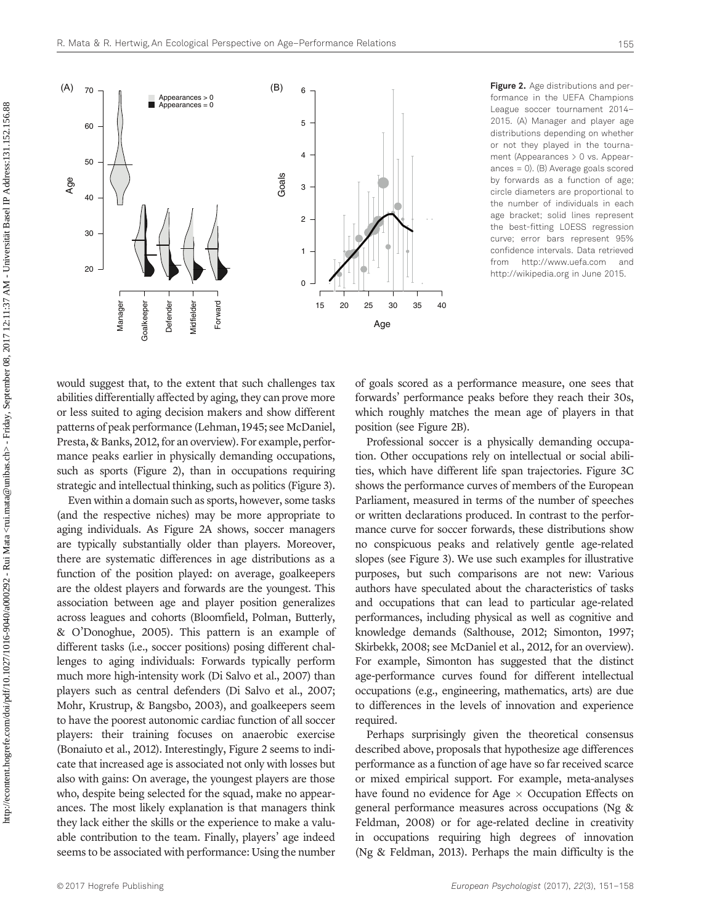formance in the UEFA Champions League soccer tournament 2014– 2015. (A) Manager and player age distributions depending on whether or not they played in the tournament (Appearances > 0 vs. Appearances = 0). (B) Average goals scored by forwards as a function of age; circle diameters are proportional to the number of individuals in each age bracket; solid lines represent the best-fitting LOESS regression curve; error bars represent 95% confidence intervals. Data retrieved from<http://www.uefa.com> and

<http://wikipedia.org> in June 2015.

would suggest that, to the extent that such challenges tax abilities differentially affected by aging, they can prove more or less suited to aging decision makers and show different patterns of peak performance (Lehman, 1945; see McDaniel, Presta, & Banks, 2012, for an overview). For example, performance peaks earlier in physically demanding occupations, such as sports (Figure 2), than in occupations requiring strategic and intellectual thinking, such as politics (Figure 3).

Even within a domain such as sports, however, some tasks (and the respective niches) may be more appropriate to aging individuals. As Figure 2A shows, soccer managers are typically substantially older than players. Moreover, there are systematic differences in age distributions as a function of the position played: on average, goalkeepers are the oldest players and forwards are the youngest. This association between age and player position generalizes across leagues and cohorts (Bloomfield, Polman, Butterly, & O'Donoghue, 2005). This pattern is an example of different tasks (i.e., soccer positions) posing different challenges to aging individuals: Forwards typically perform much more high-intensity work (Di Salvo et al., 2007) than players such as central defenders (Di Salvo et al., 2007; Mohr, Krustrup, & Bangsbo, 2003), and goalkeepers seem to have the poorest autonomic cardiac function of all soccer players: their training focuses on anaerobic exercise (Bonaiuto et al., 2012). Interestingly, Figure 2 seems to indicate that increased age is associated not only with losses but also with gains: On average, the youngest players are those who, despite being selected for the squad, make no appearances. The most likely explanation is that managers think they lack either the skills or the experience to make a valuable contribution to the team. Finally, players' age indeed seems to be associated with performance: Using the number of goals scored as a performance measure, one sees that forwards' performance peaks before they reach their 30s, which roughly matches the mean age of players in that position (see Figure 2B).

Professional soccer is a physically demanding occupation. Other occupations rely on intellectual or social abilities, which have different life span trajectories. Figure 3C shows the performance curves of members of the European Parliament, measured in terms of the number of speeches or written declarations produced. In contrast to the performance curve for soccer forwards, these distributions show no conspicuous peaks and relatively gentle age-related slopes (see Figure 3). We use such examples for illustrative purposes, but such comparisons are not new: Various authors have speculated about the characteristics of tasks and occupations that can lead to particular age-related performances, including physical as well as cognitive and knowledge demands (Salthouse, 2012; Simonton, 1997; Skirbekk, 2008; see McDaniel et al., 2012, for an overview). For example, Simonton has suggested that the distinct age-performance curves found for different intellectual occupations (e.g., engineering, mathematics, arts) are due to differences in the levels of innovation and experience required.

Perhaps surprisingly given the theoretical consensus described above, proposals that hypothesize age differences performance as a function of age have so far received scarce or mixed empirical support. For example, meta-analyses have found no evidence for Age  $\times$  Occupation Effects on general performance measures across occupations (Ng & Feldman, 2008) or for age-related decline in creativity in occupations requiring high degrees of innovation (Ng & Feldman, 2013). Perhaps the main difficulty is the

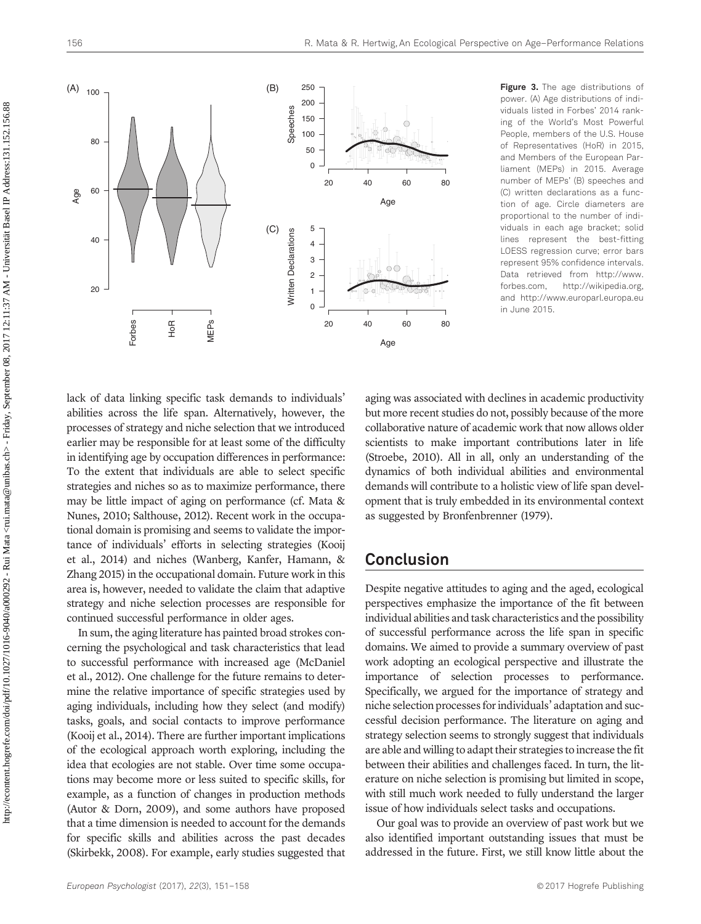

Figure 3. The age distributions of power. (A) Age distributions of individuals listed in Forbes' 2014 ranking of the World's Most Powerful People, members of the U.S. House of Representatives (HoR) in 2015, and Members of the European Parliament (MEPs) in 2015. Average number of MEPs' (B) speeches and (C) written declarations as a function of age. Circle diameters are proportional to the number of individuals in each age bracket; solid lines represent the best-fitting LOESS regression curve; error bars represent 95% confidence intervals. Data retrieved from [http://www.](http://www.forbes.com) [forbes.com](http://www.forbes.com),<http://wikipedia.org>, and<http://www.europarl.europa.eu> in June 2015.

lack of data linking specific task demands to individuals' abilities across the life span. Alternatively, however, the processes of strategy and niche selection that we introduced earlier may be responsible for at least some of the difficulty in identifying age by occupation differences in performance: To the extent that individuals are able to select specific strategies and niches so as to maximize performance, there may be little impact of aging on performance (cf. Mata & Nunes, 2010; Salthouse, 2012). Recent work in the occupational domain is promising and seems to validate the importance of individuals' efforts in selecting strategies (Kooij et al., 2014) and niches (Wanberg, Kanfer, Hamann, & Zhang 2015) in the occupational domain. Future work in this area is, however, needed to validate the claim that adaptive strategy and niche selection processes are responsible for continued successful performance in older ages.

In sum, the aging literature has painted broad strokes concerning the psychological and task characteristics that lead to successful performance with increased age (McDaniel et al., 2012). One challenge for the future remains to determine the relative importance of specific strategies used by aging individuals, including how they select (and modify) tasks, goals, and social contacts to improve performance (Kooij et al., 2014). There are further important implications of the ecological approach worth exploring, including the idea that ecologies are not stable. Over time some occupations may become more or less suited to specific skills, for example, as a function of changes in production methods (Autor & Dorn, 2009), and some authors have proposed that a time dimension is needed to account for the demands for specific skills and abilities across the past decades (Skirbekk, 2008). For example, early studies suggested that aging was associated with declines in academic productivity but more recent studies do not, possibly because of the more collaborative nature of academic work that now allows older scientists to make important contributions later in life (Stroebe, 2010). All in all, only an understanding of the dynamics of both individual abilities and environmental demands will contribute to a holistic view of life span development that is truly embedded in its environmental context as suggested by Bronfenbrenner (1979).

#### Conclusion

Despite negative attitudes to aging and the aged, ecological perspectives emphasize the importance of the fit between individual abilities and task characteristics and the possibility of successful performance across the life span in specific domains. We aimed to provide a summary overview of past work adopting an ecological perspective and illustrate the importance of selection processes to performance. Specifically, we argued for the importance of strategy and niche selection processes for individuals' adaptation and successful decision performance. The literature on aging and strategy selection seems to strongly suggest that individuals are able and willing to adapt their strategies to increase the fit between their abilities and challenges faced. In turn, the literature on niche selection is promising but limited in scope, with still much work needed to fully understand the larger issue of how individuals select tasks and occupations.

Our goal was to provide an overview of past work but we also identified important outstanding issues that must be addressed in the future. First, we still know little about the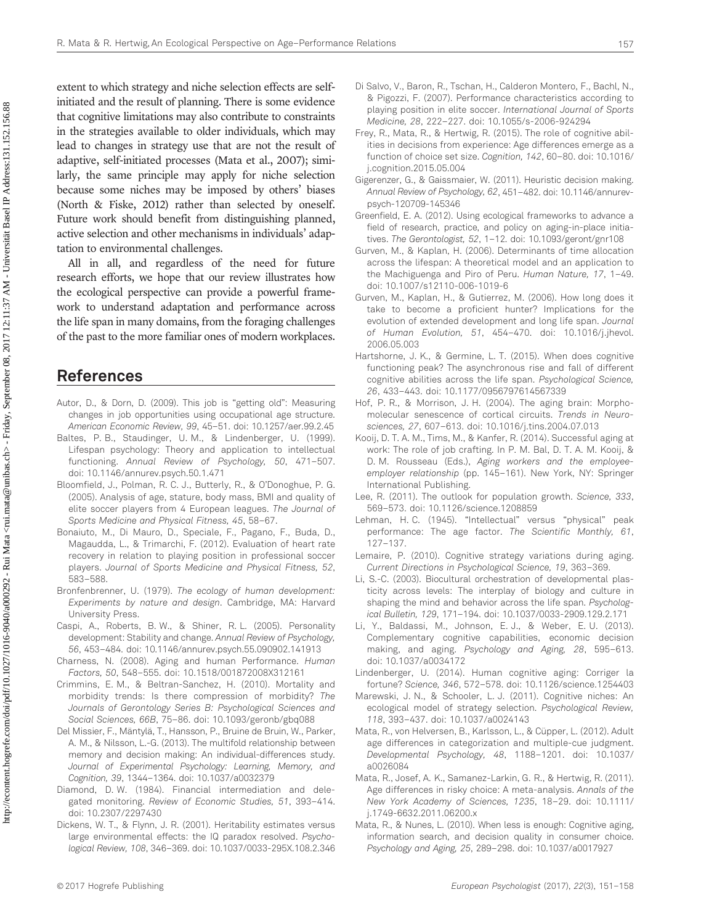extent to which strategy and niche selection effects are selfinitiated and the result of planning. There is some evidence that cognitive limitations may also contribute to constraints in the strategies available to older individuals, which may lead to changes in strategy use that are not the result of adaptive, self-initiated processes (Mata et al., 2007); similarly, the same principle may apply for niche selection because some niches may be imposed by others' biases (North & Fiske, 2012) rather than selected by oneself. Future work should benefit from distinguishing planned, active selection and other mechanisms in individuals' adaptation to environmental challenges.

All in all, and regardless of the need for future research efforts, we hope that our review illustrates how the ecological perspective can provide a powerful framework to understand adaptation and performance across the life span in many domains, from the foraging challenges of the past to the more familiar ones of modern workplaces.

#### References

- Autor, D., & Dorn, D. (2009). This job is "getting old": Measuring changes in job opportunities using occupational age structure. American Economic Review, 99, 45–51. [doi: 10.1257/aer.99.2.45](http://dx.doi.org/10.1257/aer.99.2.45)
- Baltes, P. B., Staudinger, U. M., & Lindenberger, U. (1999). Lifespan psychology: Theory and application to intellectual functioning. Annual Review of Psychology, 50, 471–507. [doi: 10.1146/annurev.psych.50.1.471](http://dx.doi.org/10.1146/an�nurev.psych.50.1.471)
- Bloomfield, J., Polman, R. C. J., Butterly, R., & O'Donoghue, P. G. (2005). Analysis of age, stature, body mass, BMI and quality of elite soccer players from 4 European leagues. The Journal of Sports Medicine and Physical Fitness, 45, 58–67.
- Bonaiuto, M., Di Mauro, D., Speciale, F., Pagano, F., Buda, D., Magaudda, L., & Trimarchi, F. (2012). Evaluation of heart rate recovery in relation to playing position in professional soccer players. Journal of Sports Medicine and Physical Fitness, 52, 583–588.
- Bronfenbrenner, U. (1979). The ecology of human development: Experiments by nature and design. Cambridge, MA: Harvard University Press.
- Caspi, A., Roberts, B. W., & Shiner, R. L. (2005). Personality development: Stability and change. Annual Review of Psychology, 56, 453–484. [doi: 10.1146/annurev.psych.55.090902.141913](http://dx.doi.org/10.1146/an�nurev.psych.55.090902.141913)
- Charness, N. (2008). Aging and human Performance. Human Factors, 50, 548–555. [doi: 10.1518/001872008X312161](http://dx.doi.org/10.1518/001872008X312161)
- Crimmins, E. M., & Beltran-Sanchez, H. (2010). Mortality and morbidity trends: Is there compression of morbidity? The Journals of Gerontology Series B: Psychological Sciences and Social Sciences, 66B, 75–86. [doi: 10.1093/geronb/gbq088](http://dx.doi.org/10.1093/geronb/gbq088)
- Del Missier, F., Mäntylä, T., Hansson, P., Bruine de Bruin, W., Parker, A. M., & Nilsson, L.-G. (2013). The multifold relationship between memory and decision making: An individual-differences study. Journal of Experimental Psychology: Learning, Memory, and Cognition, 39, 1344–1364. [doi: 10.1037/a0032379](http://dx.doi.org/10.1037/a0032379)
- Diamond, D. W. (1984). Financial intermediation and delegated monitoring. Review of Economic Studies, 51, 393–414. [doi: 10.2307/2297430](http://dx.doi.org/10.2307/2297430)
- Dickens, W. T., & Flynn, J. R. (2001). Heritability estimates versus large environmental effects: the IQ paradox resolved. Psychological Review, 108, 346–369. [doi: 10.1037/0033-295X.108.2.346](http://dx.doi.org/10.1037/0033-295X.108.2.346)
- Di Salvo, V., Baron, R., Tschan, H., Calderon Montero, F., Bachl, N., & Pigozzi, F. (2007). Performance characteristics according to playing position in elite soccer. International Journal of Sports Medicine, 28, 222–227. [doi: 10.1055/s-2006-924294](http://dx.doi.org/10.1055/s-2006-924294)
- Frey, R., Mata, R., & Hertwig, R. (2015). The role of cognitive abilities in decisions from experience: Age differences emerge as a function of choice set size. Cognition, 142, 60–80. [doi: 10.1016/](http://dx.doi.org/10.1016/j.cog�ni�tion.2015.05.004) [j.cognition.2015.05.004](http://dx.doi.org/10.1016/j.cog�ni�tion.2015.05.004)
- Gigerenzer, G., & Gaissmaier, W. (2011). Heuristic decision making. Annual Review of Psychology, 62, 451–482. [doi: 10.1146/annurev](http://dx.doi.org/10.1146/an�nurev-psych-120709-145346)[psych-120709-145346](http://dx.doi.org/10.1146/an�nurev-psych-120709-145346)
- Greenfield, E. A. (2012). Using ecological frameworks to advance a field of research, practice, and policy on aging-in-place initiatives. The Gerontologist, 52, 1–12. [doi: 10.1093/geront/gnr108](http://dx.doi.org/10.1093/geront/gn�r108)
- Gurven, M., & Kaplan, H. (2006). Determinants of time allocation across the lifespan: A theoretical model and an application to the Machiguenga and Piro of Peru. Human Nature, 17, 1–49. [doi: 10.1007/s12110-006-1019-6](http://dx.doi.org/10.1007/s12110-006-1019-6)
- Gurven, M., Kaplan, H., & Gutierrez, M. (2006). How long does it take to become a proficient hunter? Implications for the evolution of extended development and long life span. Journal of Human Evolution, 51, 454–470. [doi: 10.1016/j.jhevol.](http://dx.doi.org/10.1016/j.jhevol.2006.05.003) [2006.05.003](http://dx.doi.org/10.1016/j.jhevol.2006.05.003)
- Hartshorne, J. K., & Germine, L. T. (2015). When does cognitive functioning peak? The asynchronous rise and fall of different cognitive abilities across the life span. Psychological Science, 26, 433–443. [doi: 10.1177/0956797614567339](http://dx.doi.org/10.1177/0956797614567339)
- Hof, P. R., & Morrison, J. H. (2004). The aging brain: Morphomolecular senescence of cortical circuits. Trends in Neurosciences, 27, 607–613. [doi: 10.1016/j.tins.2004.07.013](http://dx.doi.org/10.1016/j.tins.2004.07.013)
- Kooij, D. T. A. M., Tims, M., & Kanfer, R. (2014). Successful aging at work: The role of job crafting. In P. M. Bal, D. T. A. M. Kooij, & D. M. Rousseau (Eds.), Aging workers and the employeeemployer relationship (pp. 145–161). New York, NY: Springer International Publishing.
- Lee, R. (2011). The outlook for population growth. Science, 333, 569–573. [doi: 10.1126/science.1208859](http://dx.doi.org/10.1126/�science.1208859)
- Lehman, H. C. (1945). "Intellectual" versus "physical" peak performance: The age factor. The Scientific Monthly, 61, 127–137.
- Lemaire, P. (2010). Cognitive strategy variations during aging. Current Directions in Psychological Science, 19, 363–369.
- Li, S.-C. (2003). Biocultural orchestration of developmental plasticity across levels: The interplay of biology and culture in shaping the mind and behavior across the life span. Psychological Bulletin, 129, 171–194. [doi: 10.1037/0033-2909.129.2.171](http://dx.doi.org/10.1037/0033-2909.129.2.171)
- Li, Y., Baldassi, M., Johnson, E. J., & Weber, E. U. (2013). Complementary cognitive capabilities, economic decision making, and aging. Psychology and Aging, 28, 595–613. [doi: 10.1037/a0034172](http://dx.doi.org/10.1037/a0034172)
- Lindenberger, U. (2014). Human cognitive aging: Corriger la fortune? Science, 346, 572–578. [doi: 10.1126/science.1254403](http://dx.doi.org/10.1126/�science.1254403)
- Marewski, J. N., & Schooler, L. J. (2011). Cognitive niches: An ecological model of strategy selection. Psychological Review, 118, 393–437. [doi: 10.1037/a0024143](http://dx.doi.org/10.1037/a0024143)
- Mata, R., von Helversen, B., Karlsson, L., & Cüpper, L. (2012). Adult age differences in categorization and multiple-cue judgment. Developmental Psychology, 48, 1188–1201. [doi: 10.1037/](http://dx.doi.org/10.1037/a0026084) [a0026084](http://dx.doi.org/10.1037/a0026084)
- Mata, R., Josef, A. K., Samanez-Larkin, G. R., & Hertwig, R. (2011). Age differences in risky choice: A meta-analysis. Annals of the New York Academy of Sciences, 1235, 18–29. [doi: 10.1111/](http://dx.doi.org/10.1111/j.1749-6632.2011.06200.x) [j.1749-6632.2011.06200.x](http://dx.doi.org/10.1111/j.1749-6632.2011.06200.x)
- Mata, R., & Nunes, L. (2010). When less is enough: Cognitive aging, information search, and decision quality in consumer choice. Psychology and Aging, 25, 289–298. [doi: 10.1037/a0017927](http://dx.doi.org/10.1037/a0017927)